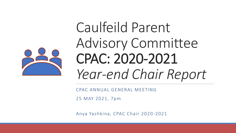

# Caulfeild Parent Advisory Committee CPAC: 2020-2021 *Year-end Chair Report*

CPAC ANNUAL GENERAL MEETING

25 MAY 2021, 7pm

Anya Yashkina, CPAC Chair 2020 -2021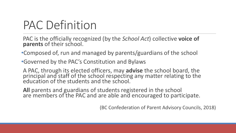## PAC Definition

PAC is the officially recognized (by the *School Act*) collective **voice of parents** of their school.

•Composed of, run and managed by parents/guardians of the school

•Governed by the PAC's Constitution and Bylaws

A PAC, through its elected officers, may **advise** the school board, the principal and staff of the school respecting any matter relating to the education of the students and the school.

**All** parents and guardians of students registered in the school are members of the PAC and are able and encouraged to participate.

(BC Confederation of Parent Advisory Councils, 2018)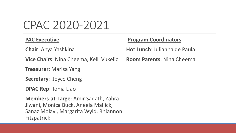## CPAC 2020-2021

### **PAC Executive**

**Chair**: Anya Yashkina

**Vice Chairs**: Nina Cheema, Kelli Vukelic

**Treasurer**: Marisa Yang

**Secretary**: Joyce Cheng

**DPAC Rep**: Tonia Liao

**Members-at-Large**: Amir Sadath, Zahra Jiwani, Monica Buck, Aneela Mallick, Sanaz Molavi, Margarita Wyld, Rhiannon **Fitzpatrick** 

### **Program Coordinators**

**Hot Lunch**: Julianna de Paula

**Room Parents**: Nina Cheema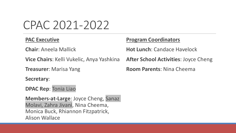## CPAC 2021-2022

### **PAC Executive**

**Chair**: Aneela Mallick

**Vice Chairs**: Kelli Vukelic, Anya Yashkina

**Treasurer**: Marisa Yang

**Secretary**:

**DPAC Rep**: Tonia Liao

**Members-at-Large**: Joyce Cheng, Sanaz Molavi, Zahra Jivani, Nina Cheema, Monica Buck, Rhiannon Fitzpatrick, Alison Wallace

### **Program Coordinators**

**Hot Lunch**: Candace Havelock

**After School Activities**: Joyce Cheng

**Room Parents**: Nina Cheema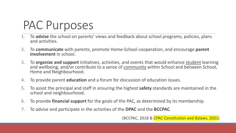## PAC Purposes

- 1. To **advise** the school on parents' views and feedback about school programs, policies, plans and activities.
- 2. To **communicate** with parents, promote Home-School cooperation, and encourage **parent involvement** in school.
- 3. To **organize and support** initiatives, activities, and events that would enhance student learning and wellbeing, and/or contribute to a sense of community within School and between School, Home and Neighbourhood.
- 4. To provide parent **education** and a forum for discussion of education issues.
- 5. To assist the principal and staff in ensuring the highest **safety** standards are maintained in the school and neighbourhood.
- 6. To provide **financial support** for the goals of the PAC, as determined by its membership.
- 7. To advise and participate in the activities of the **DPAC** and the **BCCPAC**.

(BCCPAC, 2018 & CPAC Constitution and Bylaws, 2021)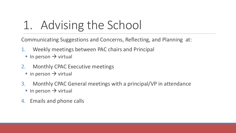## 1. Advising the School

Communicating Suggestions and Concerns, Reflecting, and Planning at:

- 1. Weekly meetings between PAC chairs and Principal
	- In person  $\rightarrow$  virtual
- 2. Monthly CPAC Executive meetings
	- in person  $\rightarrow$  virtual
- 3. Monthly CPAC General meetings with a principal/VP in attendance
	- In person  $\rightarrow$  virtual
- 4. Emails and phone calls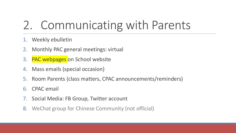## 2. Communicating with Parents

- 1. Weekly ebulletin
- 2. Monthly PAC general meetings: virtual
- 3. PAC webpages on School website
- 4. Mass emails (special occasion)
- 5. Room Parents (class matters, CPAC announcements/reminders)
- 6. CPAC email
- 7. Social Media: FB Group, Twitter account
- 8. WeChat group for Chinese Community (not official)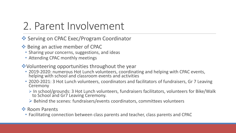### 2. Parent Involvement

- ❖ Serving on CPAC Exec/Program Coordinator
- ❖ Being an active member of CPAC
	- Sharing your concerns, suggestions, and ideas
	- Attending CPAC monthly meetings
- ❖Volunteering opportunities throughout the year
	- 2019-2020: numerous Hot Lunch volunteers, coordinating and helping with CPAC events, helping with school and classroom events and activities
	- 2020-2021: 3 Hot Lunch volunteers, coordinators and facilitators of fundraisers, Gr 7 Leaving Ceremony
		- ➢ In school/grounds: 3 Hot Lunch volunteers, fundraisers facilitators, volunteers for Bike/Walk to School and Gr7 Leaving Ceremony.
		- ➢ Behind the scenes: fundraisers/events coordinators, committees volunteers
- **❖ Room Parents** 
	- Facilitating connection between class parents and teacher, class parents and CPAC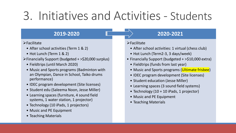## 3. Initiatives and Activities - Students

### **2019-2020**

#### ➢Facilitate

- After school activities (Term 1 & 2)
- Hot Lunch (Term 1 & 2)
- ➢Financially Support (budgeted + >\$20,000 surplus)
	- Fieldtrips (until March 2020)
	- Music and Sports programs (Badminton with an Olympian, Dance in School, Taiko drums performance)
	- IDEC program development (Site licenses)
	- Student edu (Saleema Noon, Jesse Miller)
	- Learning spaces (furniture, 4 sound field systems, 1 water station, 1 projector)
	- Technology (10 iPads, 1 projectors)
	- Music and PE Equipment
	- Teaching Materials

### **2020-2021**

#### ➢Facilitate

- After school activities: 1 virtual (chess club)
- Hot Lunch (Term2-3, 3 days/week)
- Financially Support (budgeted + >\$10,000 extra)
	- Fieldtrips (funds from last year)
	- Music and Sports programs (Ultimate frisbee)
	- IDEC program development (Site licenses)
	- Student education (Jesse Miller)
	- Learning spaces (3 sound field systems)
	- Technology (10 + 10 iPads, 1 projector)
	- Music and PE Equipment
	- Teaching Materials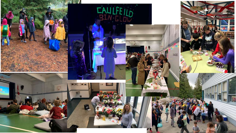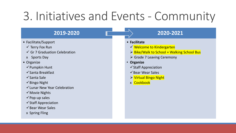## 3. Initiatives and Events - Community

#### **2019-2020** • Facilitate/Support  $\checkmark$  Terry Fox Run  $\checkmark$  Gr 7 Graduation Celebration x Sports Day • Organize ✓Pumpkin Hunt ✓Santa Breakfast ✓Santa Sale

- $\checkmark$  Bingo Night
- ✓Lunar New Year Celebration
- ✓Movie Nights
- $\checkmark$  Pop-up sales
- $\checkmark$  Staff Appreciation
- $\checkmark$  Bear Wear Sales
- x Spring Fling

### **2020-2021**

#### • **Facilitate**

- ✓ Welcome to Kindergarten
- ➢ Bike/Walk to School + Walking School Bus
- ➢ Grade 7 Leaving Ceremony
- **Organize**
	- ✓Staff Appreciation
	- $\checkmark$  Bear Wear Sales
	- ➢ Virtual Bingo Night
	- x Cookbook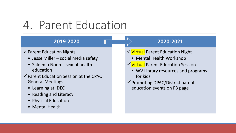## 4. Parent Education

### **2019-2020**

- $\checkmark$  Parent Education Nights
	- Jesse Miller social media safety
	- Saleema Noon sexual health education
- $\checkmark$  Parent Education Session at the CPAC General Meetings
	- Learning at IDEC
	- Reading and Literacy
	- Physical Education
	- Mental Health

### **2020-2021**

- ✓Virtual Parent Education Night
	- Mental Health Workshop
- ✓Virtual Parent Education Session
	- WV Library resources and programs for kids
- $\checkmark$  Promoting DPAC/District parent education events on FB page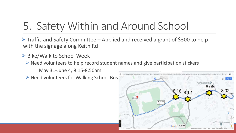### 5. Safety Within and Around School

 $\triangleright$  Traffic and Safety Committee – Applied and received a grant of \$300 to help with the signage along Keith Rd

➢ Bike/Walk to School Week

 $\triangleright$  Need volunteers to help record student names and give participation stickers

May 31-June 4, 8:15-8:50am

 $\triangleright$  Need volunteers for Walking School Bus

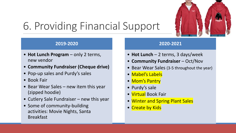

## 6. Providing Financial Support

#### **2019-2020**

- **Hot Lunch Program**  only 2 terms, new vendor
- **Community Fundraiser (Cheque drive)**
- Pop-up sales and Purdy's sales
- Book Fair
- Bear Wear Sales new item this year (zipped hoodie)
- Cutlery Sale Fundraiser new this year
- Some of community-building activities: Movie Nights, Santa Breakfast

#### **2020-2021**

- **Hot Lunch**  2 terms, 3 days/week
- **Community Fundraiser**  Oct/Nov
- Bear Wear Sales (3-5 throughout the year)
- Mabel's Labels
- Mom's Pantry
- Purdy's sale
- Virtual Book Fair
- Winter and Spring Plant Sales
- Create by Kids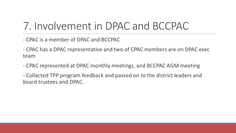### 7. Involvement in DPAC and BCCPAC

- CPAC is a member of DPAC and BCCPAC

- CPAC has a DPAC representative and two of CPAC members are on DPAC exec team

- CPAC represented at DPAC monthly meetings, and BCCPAC AGM meeting

- Collected TPP program feedback and passed on to the district leaders and board trustees and DPAC.